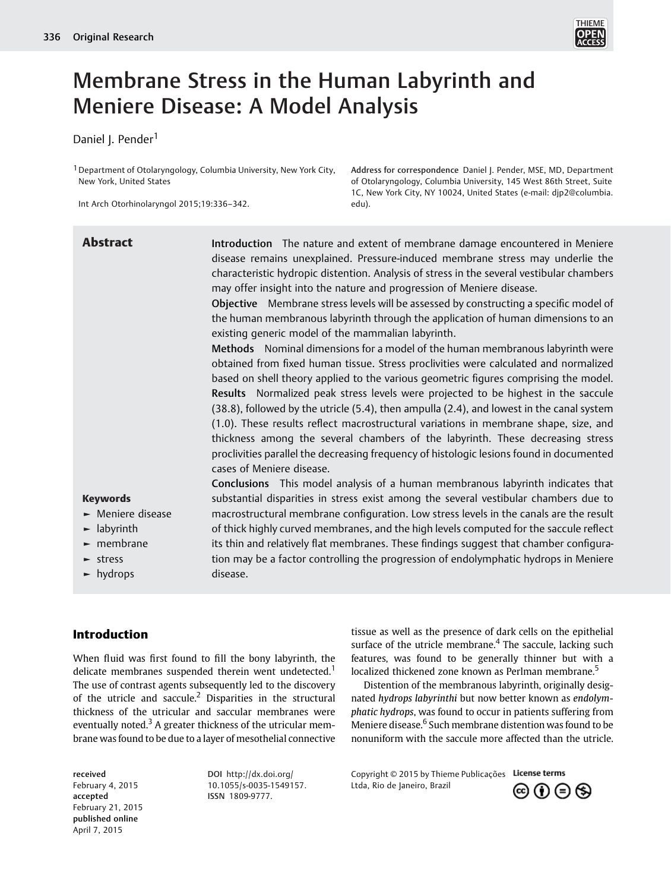

# Membrane Stress in the Human Labyrinth and Meniere Disease: A Model Analysis

Daniel J. Pender<sup>1</sup>

1Department of Otolaryngology, Columbia University, New York City, New York, United States

Int Arch Otorhinolaryngol 2015;19:336–342.

Address for correspondence Daniel J. Pender, MSE, MD, Department of Otolaryngology, Columbia University, 145 West 86th Street, Suite 1C, New York City, NY 10024, United States (e-mail: [djp2@columbia.](mailto:djp2@columbia.edu) [edu\)](mailto:djp2@columbia.edu).

| <b>Abstract</b>                       | Introduction The nature and extent of membrane damage encountered in Meniere              |
|---------------------------------------|-------------------------------------------------------------------------------------------|
|                                       | disease remains unexplained. Pressure-induced membrane stress may underlie the            |
|                                       | characteristic hydropic distention. Analysis of stress in the several vestibular chambers |
|                                       | may offer insight into the nature and progression of Meniere disease.                     |
|                                       | Objective Membrane stress levels will be assessed by constructing a specific model of     |
|                                       | the human membranous labyrinth through the application of human dimensions to an          |
|                                       | existing generic model of the mammalian labyrinth.                                        |
|                                       | Methods Nominal dimensions for a model of the human membranous labyrinth were             |
|                                       | obtained from fixed human tissue. Stress proclivities were calculated and normalized      |
|                                       | based on shell theory applied to the various geometric figures comprising the model.      |
|                                       | Results Normalized peak stress levels were projected to be highest in the saccule         |
|                                       | (38.8), followed by the utricle (5.4), then ampulla (2.4), and lowest in the canal system |
|                                       | (1.0). These results reflect macrostructural variations in membrane shape, size, and      |
|                                       | thickness among the several chambers of the labyrinth. These decreasing stress            |
|                                       | proclivities parallel the decreasing frequency of histologic lesions found in documented  |
|                                       | cases of Meniere disease.                                                                 |
|                                       | Conclusions This model analysis of a human membranous labyrinth indicates that            |
| <b>Keywords</b>                       | substantial disparities in stress exist among the several vestibular chambers due to      |
| $\blacktriangleright$ Meniere disease | macrostructural membrane configuration. Low stress levels in the canals are the result    |
| $\blacktriangleright$ labyrinth       | of thick highly curved membranes, and the high levels computed for the saccule reflect    |
| $\blacktriangleright$ membrane        | its thin and relatively flat membranes. These findings suggest that chamber configura-    |
| $\blacktriangleright$ stress          | tion may be a factor controlling the progression of endolymphatic hydrops in Meniere      |
| $\blacktriangleright$ hydrops         | disease.                                                                                  |
|                                       |                                                                                           |

## Introduction

When fluid was first found to fill the bony labyrinth, the delicate membranes suspended therein went undetected.<sup>1</sup> The use of contrast agents subsequently led to the discovery of the utricle and saccule.<sup>2</sup> Disparities in the structural thickness of the utricular and saccular membranes were eventually noted.<sup>3</sup> A greater thickness of the utricular membrane was found to be due to a layer of mesothelial connective

received February 4, 2015 accepted February 21, 2015 published online April 7, 2015

DOI [http://dx.doi.org/](http://dx.doi.org/10.1055/s-0035-1549157) [10.1055/s-0035-1549157.](http://dx.doi.org/10.1055/s-0035-1549157) ISSN 1809-9777.

tissue as well as the presence of dark cells on the epithelial surface of the utricle membrane.<sup>4</sup> The saccule, lacking such features, was found to be generally thinner but with a localized thickened zone known as Perlman membrane.<sup>5</sup>

Distention of the membranous labyrinth, originally designated hydrops labyrinthi but now better known as endolymphatic hydrops, was found to occur in patients suffering from Meniere disease.<sup>6</sup> Such membrane distention was found to be nonuniform with the saccule more affected than the utricle.

Copyright © 2015 by Thieme Publicações License terms Ltda, Rio de Janeiro, Brazil

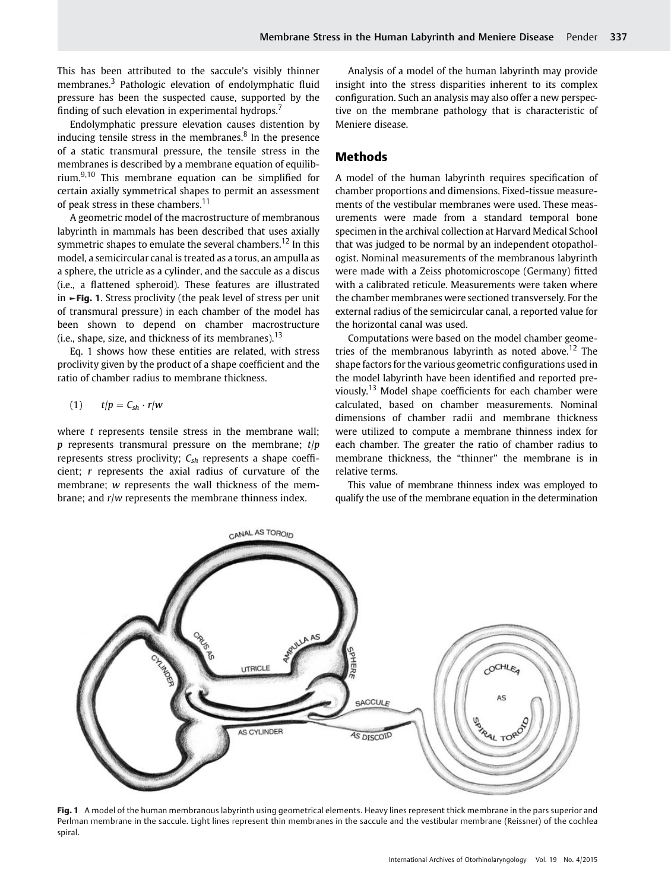This has been attributed to the saccule's visibly thinner membranes.<sup>3</sup> Pathologic elevation of endolymphatic fluid pressure has been the suspected cause, supported by the finding of such elevation in experimental hydrops.<sup>7</sup>

Endolymphatic pressure elevation causes distention by inducing tensile stress in the membranes. $8$  In the presence of a static transmural pressure, the tensile stress in the membranes is described by a membrane equation of equilibrium.9,10 This membrane equation can be simplified for certain axially symmetrical shapes to permit an assessment of peak stress in these chambers.<sup>11</sup>

A geometric model of the macrostructure of membranous labyrinth in mammals has been described that uses axially symmetric shapes to emulate the several chambers.<sup>12</sup> In this model, a semicircular canal is treated as a torus, an ampulla as a sphere, the utricle as a cylinder, and the saccule as a discus (i.e., a flattened spheroid). These features are illustrated in ►Fig. 1. Stress proclivity (the peak level of stress per unit of transmural pressure) in each chamber of the model has been shown to depend on chamber macrostructure (i.e., shape, size, and thickness of its membranes). $^{13}$ 

Eq. 1 shows how these entities are related, with stress proclivity given by the product of a shape coefficient and the ratio of chamber radius to membrane thickness.

(1)  $t/p = C_{sh} \cdot r/w$ 

where *t* represents tensile stress in the membrane wall;  $p$  represents transmural pressure on the membrane;  $t/p$ represents stress proclivity;  $C_{sh}$  represents a shape coefficient; r represents the axial radius of curvature of the membrane; w represents the wall thickness of the membrane; and  $r/w$  represents the membrane thinness index.

Analysis of a model of the human labyrinth may provide insight into the stress disparities inherent to its complex configuration. Such an analysis may also offer a new perspective on the membrane pathology that is characteristic of Meniere disease.

## Methods

A model of the human labyrinth requires specification of chamber proportions and dimensions. Fixed-tissue measurements of the vestibular membranes were used. These measurements were made from a standard temporal bone specimen in the archival collection at Harvard Medical School that was judged to be normal by an independent otopathologist. Nominal measurements of the membranous labyrinth were made with a Zeiss photomicroscope (Germany) fitted with a calibrated reticule. Measurements were taken where the chamber membranes were sectioned transversely. For the external radius of the semicircular canal, a reported value for the horizontal canal was used.

Computations were based on the model chamber geometries of the membranous labyrinth as noted above.<sup>12</sup> The shape factors for the various geometric configurations used in the model labyrinth have been identified and reported previously.<sup>13</sup> Model shape coefficients for each chamber were calculated, based on chamber measurements. Nominal dimensions of chamber radii and membrane thickness were utilized to compute a membrane thinness index for each chamber. The greater the ratio of chamber radius to membrane thickness, the "thinner" the membrane is in relative terms.

This value of membrane thinness index was employed to qualify the use of the membrane equation in the determination



Fig. 1 A model of the human membranous labyrinth using geometrical elements. Heavy lines represent thick membrane in the pars superior and Perlman membrane in the saccule. Light lines represent thin membranes in the saccule and the vestibular membrane (Reissner) of the cochlea spiral.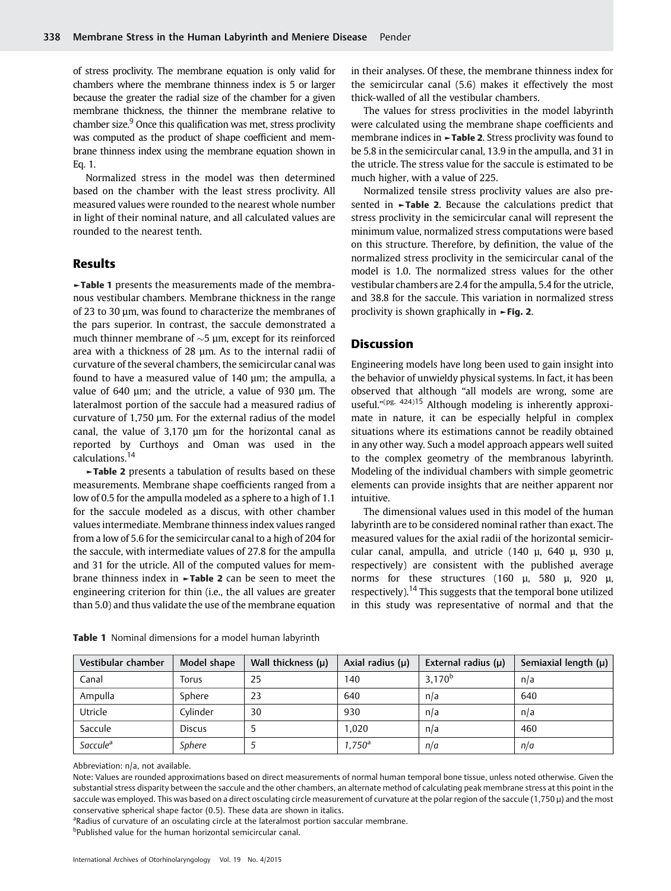of stress proclivity. The membrane equation is only valid for chambers where the membrane thinness index is 5 or larger because the greater the radial size of the chamber for a given membrane thickness, the thinner the membrane relative to chamber size. $9$  Once this qualification was met, stress proclivity was computed as the product of shape coefficient and membrane thinness index using the membrane equation shown in Eq. 1.

Normalized stress in the model was then determined based on the chamber with the least stress proclivity. All measured values were rounded to the nearest whole number in light of their nominal nature, and all calculated values are rounded to the nearest tenth.

### Results

►Table 1 presents the measurements made of the membranous vestibular chambers. Membrane thickness in the range of 23 to 30 µm, was found to characterize the membranes of the pars superior. In contrast, the saccule demonstrated a much thinner membrane of  $\sim$ 5 µm, except for its reinforced area with a thickness of 28 µm. As to the internal radii of curvature of the several chambers, the semicircular canal was found to have a measured value of 140 µm; the ampulla, a value of 640 µm; and the utricle, a value of 930 µm. The lateralmost portion of the saccule had a measured radius of curvature of 1,750 µm. For the external radius of the model canal, the value of 3,170 µm for the horizontal canal as reported by Curthoys and Oman was used in the calculations.<sup>14</sup>

►Table 2 presents a tabulation of results based on these measurements. Membrane shape coefficients ranged from a low of 0.5 for the ampulla modeled as a sphere to a high of 1.1 for the saccule modeled as a discus, with other chamber values intermediate. Membrane thinness index values ranged from a low of 5.6 for the semicircular canal to a high of 204 for the saccule, with intermediate values of 27.8 for the ampulla and 31 for the utricle. All of the computed values for membrane thinness index in ►Table 2 can be seen to meet the engineering criterion for thin (i.e., the all values are greater than 5.0) and thus validate the use of the membrane equation in their analyses. Of these, the membrane thinness index for the semicircular canal (5.6) makes it effectively the most thick-walled of all the vestibular chambers.

The values for stress proclivities in the model labyrinth were calculated using the membrane shape coefficients and membrane indices in ►Table 2. Stress proclivity was found to be 5.8 in the semicircular canal, 13.9 in the ampulla, and 31 in the utricle. The stress value for the saccule is estimated to be much higher, with a value of 225.

Normalized tensile stress proclivity values are also presented in ►Table 2. Because the calculations predict that stress proclivity in the semicircular canal will represent the minimum value, normalized stress computations were based on this structure. Therefore, by definition, the value of the normalized stress proclivity in the semicircular canal of the model is 1.0. The normalized stress values for the other vestibular chambers are 2.4 for the ampulla, 5.4 for the utricle, and 38.8 for the saccule. This variation in normalized stress proclivity is shown graphically in ►Fig. 2.

#### **Discussion**

Engineering models have long been used to gain insight into the behavior of unwieldy physical systems. In fact, it has been observed that although "all models are wrong, some are useful."<sup>(pg. 424)15</sup> Although modeling is inherently approximate in nature, it can be especially helpful in complex situations where its estimations cannot be readily obtained in any other way. Such a model approach appears well suited to the complex geometry of the membranous labyrinth. Modeling of the individual chambers with simple geometric elements can provide insights that are neither apparent nor intuitive.

The dimensional values used in this model of the human labyrinth are to be considered nominal rather than exact. The measured values for the axial radii of the horizontal semicircular canal, ampulla, and utricle  $(140 \mu, 640 \mu, 930 \mu,$ respectively) are consistent with the published average norms for these structures (160 µ, 580 µ, 920 µ, respectively).<sup>14</sup> This suggests that the temporal bone utilized in this study was representative of normal and that the

| Vestibular chamber   | Model shape   | Wall thickness $(\mu)$ | Axial radius $(\mu)$ | External radius $(\mu)$ | Semiaxial length $(\mu)$ |
|----------------------|---------------|------------------------|----------------------|-------------------------|--------------------------|
| Canal                | Torus         | 25                     | 140                  | $3,170^{b}$             | n/a                      |
| Ampulla              | Sphere        | 23                     | 640                  | n/a                     | 640                      |
| Utricle              | Cylinder      | 30                     | 930                  | n/a                     | n/a                      |
| Saccule              | <b>Discus</b> |                        | 1.020                | n/a                     | 460                      |
| Saccule <sup>a</sup> | Sphere        |                        | $1,750^a$            | n/a                     | n/a                      |

Table 1 Nominal dimensions for a model human labyrinth

Abbreviation: n/a, not available.

<sup>a</sup>Radius of curvature of an osculating circle at the lateralmost portion saccular membrane.

b Published value for the human horizontal semicircular canal.

Note: Values are rounded approximations based on direct measurements of normal human temporal bone tissue, unless noted otherwise. Given the substantial stress disparity between the saccule and the other chambers, an alternate method of calculating peak membrane stress at this point in the saccule was employed. This was based on a direct osculating circle measurement of curvature at the polar region of the saccule (1,750 µ) and the most conservative spherical shape factor (0.5). These data are shown in italics.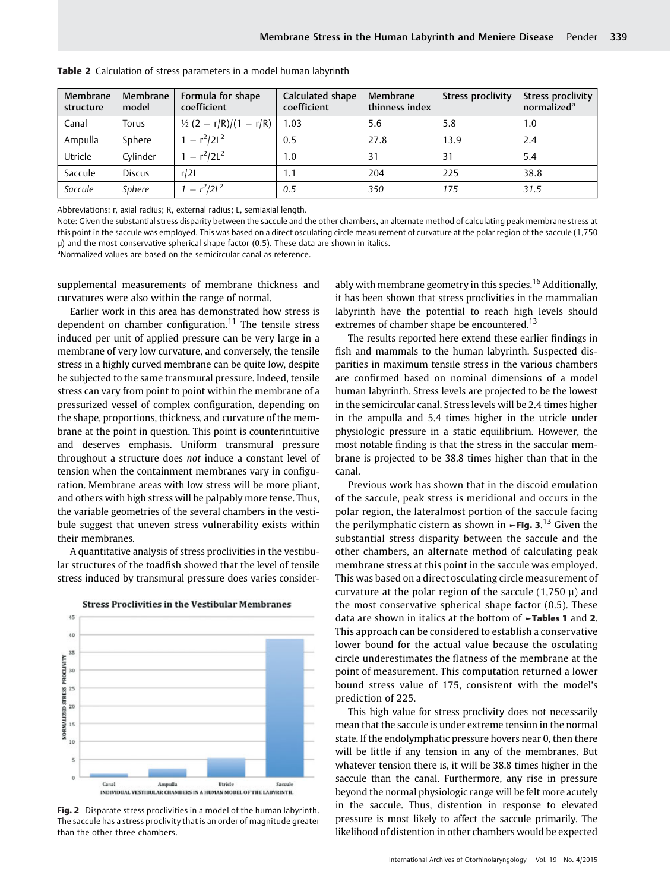| Membrane<br>structure | Membrane<br>model | Formula for shape<br>coefficient  | Calculated shape<br>coefficient | Membrane<br>thinness index | Stress proclivity | Stress proclivity<br>normalized <sup>a</sup> |
|-----------------------|-------------------|-----------------------------------|---------------------------------|----------------------------|-------------------|----------------------------------------------|
| Canal                 | Torus             | $\frac{1}{2}$ (2 - r/R)/(1 - r/R) | 1.03                            | 5.6                        | 5.8               | 1.0                                          |
| Ampulla               | Sphere            | $1 - r^2/2L^2$                    | 0.5                             | 27.8                       | 13.9              | 2.4                                          |
| Utricle               | Cylinder          | $1 - r^2/2L^2$                    | 1.0                             | 31                         | 31                | 5.4                                          |
| Saccule               | <b>Discus</b>     | r/2L                              | 1.1                             | 204                        | 225               | 38.8                                         |
| Saccule               | Sphere            | $-r^2/2L^2$                       | 0.5                             | 350                        | 175               | 31.5                                         |

Table 2 Calculation of stress parameters in a model human labyrinth

Abbreviations: r, axial radius; R, external radius; L, semiaxial length.

Note: Given the substantial stress disparity between the saccule and the other chambers, an alternate method of calculating peak membrane stress at this point in the saccule was employed. This was based on a direct osculating circle measurement of curvature at the polar region of the saccule (1,750  $\mu$ ) and the most conservative spherical shape factor (0.5). These data are shown in italics.

<sup>a</sup>Normalized values are based on the semicircular canal as reference.

supplemental measurements of membrane thickness and curvatures were also within the range of normal.

Earlier work in this area has demonstrated how stress is dependent on chamber configuration.<sup>11</sup> The tensile stress induced per unit of applied pressure can be very large in a membrane of very low curvature, and conversely, the tensile stress in a highly curved membrane can be quite low, despite be subjected to the same transmural pressure. Indeed, tensile stress can vary from point to point within the membrane of a pressurized vessel of complex configuration, depending on the shape, proportions, thickness, and curvature of the membrane at the point in question. This point is counterintuitive and deserves emphasis. Uniform transmural pressure throughout a structure does not induce a constant level of tension when the containment membranes vary in configuration. Membrane areas with low stress will be more pliant, and others with high stress will be palpably more tense. Thus, the variable geometries of the several chambers in the vestibule suggest that uneven stress vulnerability exists within their membranes.

A quantitative analysis of stress proclivities in the vestibular structures of the toadfish showed that the level of tensile stress induced by transmural pressure does varies consider-



#### **Stress Proclivities in the Vestibular Membranes**

Fig. 2 Disparate stress proclivities in a model of the human labyrinth. The saccule has a stress proclivity that is an order of magnitude greater than the other three chambers.

ably with membrane geometry in this species.<sup>16</sup> Additionally, it has been shown that stress proclivities in the mammalian labyrinth have the potential to reach high levels should extremes of chamber shape be encountered.<sup>13</sup>

The results reported here extend these earlier findings in fish and mammals to the human labyrinth. Suspected disparities in maximum tensile stress in the various chambers are confirmed based on nominal dimensions of a model human labyrinth. Stress levels are projected to be the lowest in the semicircular canal. Stress levels will be 2.4 times higher in the ampulla and 5.4 times higher in the utricle under physiologic pressure in a static equilibrium. However, the most notable finding is that the stress in the saccular membrane is projected to be 38.8 times higher than that in the canal.

Previous work has shown that in the discoid emulation of the saccule, peak stress is meridional and occurs in the polar region, the lateralmost portion of the saccule facing the perilymphatic cistern as shown in **≻Fig. 3**.<sup>13</sup> Given the substantial stress disparity between the saccule and the other chambers, an alternate method of calculating peak membrane stress at this point in the saccule was employed. This was based on a direct osculating circle measurement of curvature at the polar region of the saccule  $(1,750 \,\mu)$  and the most conservative spherical shape factor (0.5). These data are shown in italics at the bottom of ►Tables 1 and 2. This approach can be considered to establish a conservative lower bound for the actual value because the osculating circle underestimates the flatness of the membrane at the point of measurement. This computation returned a lower bound stress value of 175, consistent with the model's prediction of 225.

This high value for stress proclivity does not necessarily mean that the saccule is under extreme tension in the normal state. If the endolymphatic pressure hovers near 0, then there will be little if any tension in any of the membranes. But whatever tension there is, it will be 38.8 times higher in the saccule than the canal. Furthermore, any rise in pressure beyond the normal physiologic range will be felt more acutely in the saccule. Thus, distention in response to elevated pressure is most likely to affect the saccule primarily. The likelihood of distention in other chambers would be expected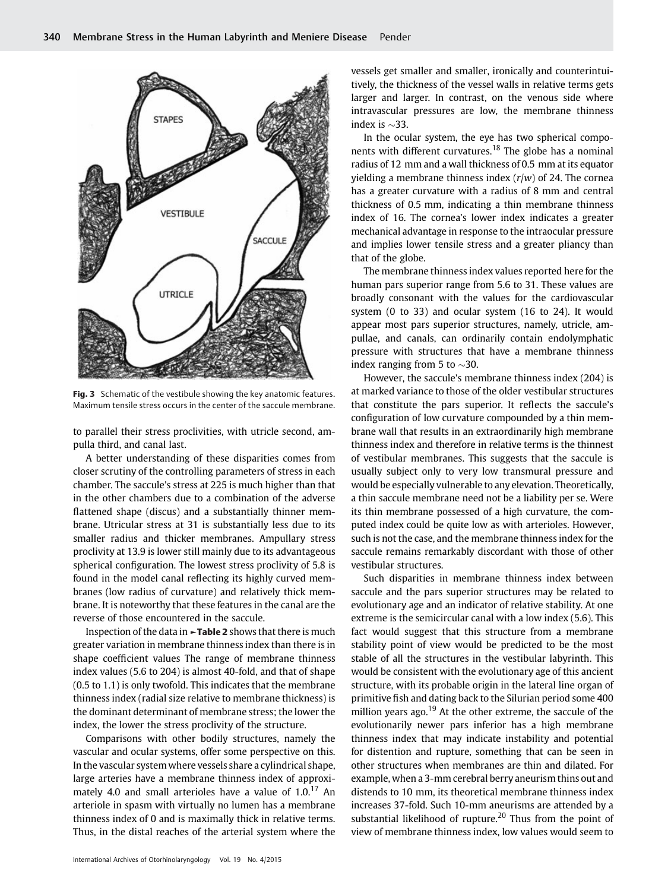

Fig. 3 Schematic of the vestibule showing the key anatomic features. Maximum tensile stress occurs in the center of the saccule membrane.

to parallel their stress proclivities, with utricle second, ampulla third, and canal last.

A better understanding of these disparities comes from closer scrutiny of the controlling parameters of stress in each chamber. The saccule's stress at 225 is much higher than that in the other chambers due to a combination of the adverse flattened shape (discus) and a substantially thinner membrane. Utricular stress at 31 is substantially less due to its smaller radius and thicker membranes. Ampullary stress proclivity at 13.9 is lower still mainly due to its advantageous spherical configuration. The lowest stress proclivity of 5.8 is found in the model canal reflecting its highly curved membranes (low radius of curvature) and relatively thick membrane. It is noteworthy that these features in the canal are the reverse of those encountered in the saccule.

Inspection of the data in  $\blacktriangleright$ Table 2 shows that there is much greater variation in membrane thinness index than there is in shape coefficient values The range of membrane thinness index values (5.6 to 204) is almost 40-fold, and that of shape (0.5 to 1.1) is only twofold. This indicates that the membrane thinness index (radial size relative to membrane thickness) is the dominant determinant of membrane stress; the lower the index, the lower the stress proclivity of the structure.

Comparisons with other bodily structures, namely the vascular and ocular systems, offer some perspective on this. In the vascular system where vessels share a cylindrical shape, large arteries have a membrane thinness index of approximately 4.0 and small arterioles have a value of  $1.0$ .<sup>17</sup> An arteriole in spasm with virtually no lumen has a membrane thinness index of 0 and is maximally thick in relative terms. Thus, in the distal reaches of the arterial system where the vessels get smaller and smaller, ironically and counterintuitively, the thickness of the vessel walls in relative terms gets larger and larger. In contrast, on the venous side where intravascular pressures are low, the membrane thinness index is  $\sim$ 33.

In the ocular system, the eye has two spherical components with different curvatures.<sup>18</sup> The globe has a nominal radius of 12 mm and a wall thickness of 0.5 mm at its equator yielding a membrane thinness index  $(r/w)$  of 24. The cornea has a greater curvature with a radius of 8 mm and central thickness of 0.5 mm, indicating a thin membrane thinness index of 16. The cornea's lower index indicates a greater mechanical advantage in response to the intraocular pressure and implies lower tensile stress and a greater pliancy than that of the globe.

The membrane thinness index values reported here for the human pars superior range from 5.6 to 31. These values are broadly consonant with the values for the cardiovascular system (0 to 33) and ocular system (16 to 24). It would appear most pars superior structures, namely, utricle, ampullae, and canals, can ordinarily contain endolymphatic pressure with structures that have a membrane thinness index ranging from 5 to  $\sim$ 30.

However, the saccule's membrane thinness index (204) is at marked variance to those of the older vestibular structures that constitute the pars superior. It reflects the saccule's configuration of low curvature compounded by a thin membrane wall that results in an extraordinarily high membrane thinness index and therefore in relative terms is the thinnest of vestibular membranes. This suggests that the saccule is usually subject only to very low transmural pressure and would be especially vulnerable to any elevation. Theoretically, a thin saccule membrane need not be a liability per se. Were its thin membrane possessed of a high curvature, the computed index could be quite low as with arterioles. However, such is not the case, and the membrane thinness index for the saccule remains remarkably discordant with those of other vestibular structures.

Such disparities in membrane thinness index between saccule and the pars superior structures may be related to evolutionary age and an indicator of relative stability. At one extreme is the semicircular canal with a low index (5.6). This fact would suggest that this structure from a membrane stability point of view would be predicted to be the most stable of all the structures in the vestibular labyrinth. This would be consistent with the evolutionary age of this ancient structure, with its probable origin in the lateral line organ of primitive fish and dating back to the Silurian period some 400 million years ago.<sup>19</sup> At the other extreme, the saccule of the evolutionarily newer pars inferior has a high membrane thinness index that may indicate instability and potential for distention and rupture, something that can be seen in other structures when membranes are thin and dilated. For example, when a 3-mm cerebral berry aneurism thins out and distends to 10 mm, its theoretical membrane thinness index increases 37-fold. Such 10-mm aneurisms are attended by a substantial likelihood of rupture. $20$  Thus from the point of view of membrane thinness index, low values would seem to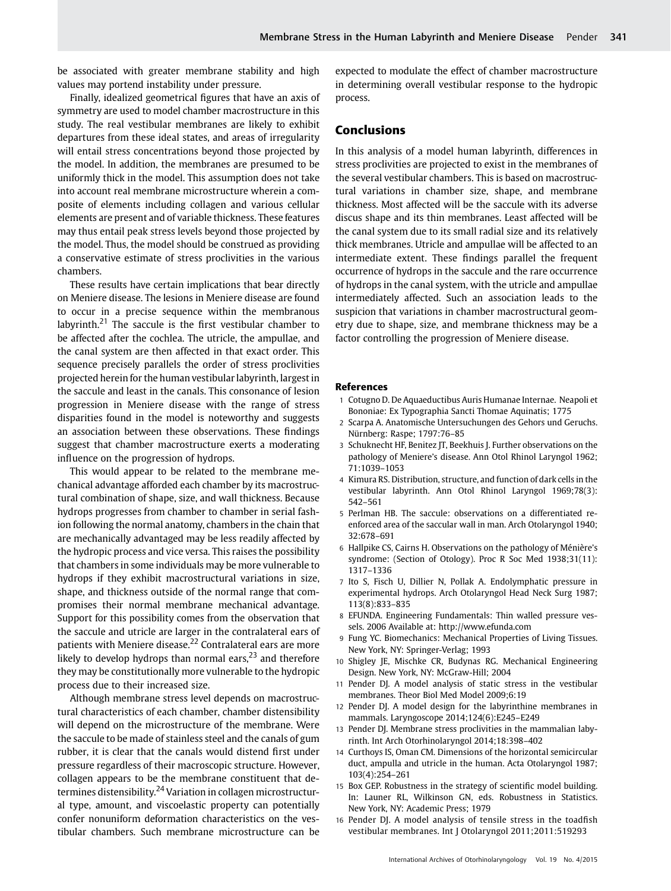be associated with greater membrane stability and high values may portend instability under pressure.

Finally, idealized geometrical figures that have an axis of symmetry are used to model chamber macrostructure in this study. The real vestibular membranes are likely to exhibit departures from these ideal states, and areas of irregularity will entail stress concentrations beyond those projected by the model. In addition, the membranes are presumed to be uniformly thick in the model. This assumption does not take into account real membrane microstructure wherein a composite of elements including collagen and various cellular elements are present and of variable thickness. These features may thus entail peak stress levels beyond those projected by the model. Thus, the model should be construed as providing a conservative estimate of stress proclivities in the various chambers.

These results have certain implications that bear directly on Meniere disease. The lesions in Meniere disease are found to occur in a precise sequence within the membranous labyrinth. $21$  The saccule is the first vestibular chamber to be affected after the cochlea. The utricle, the ampullae, and the canal system are then affected in that exact order. This sequence precisely parallels the order of stress proclivities projected herein for the human vestibular labyrinth, largest in the saccule and least in the canals. This consonance of lesion progression in Meniere disease with the range of stress disparities found in the model is noteworthy and suggests an association between these observations. These findings suggest that chamber macrostructure exerts a moderating influence on the progression of hydrops.

This would appear to be related to the membrane mechanical advantage afforded each chamber by its macrostructural combination of shape, size, and wall thickness. Because hydrops progresses from chamber to chamber in serial fashion following the normal anatomy, chambers in the chain that are mechanically advantaged may be less readily affected by the hydropic process and vice versa. This raises the possibility that chambers in some individuals may be more vulnerable to hydrops if they exhibit macrostructural variations in size, shape, and thickness outside of the normal range that compromises their normal membrane mechanical advantage. Support for this possibility comes from the observation that the saccule and utricle are larger in the contralateral ears of patients with Meniere disease.<sup>22</sup> Contralateral ears are more likely to develop hydrops than normal ears, $^{23}$  and therefore they may be constitutionally more vulnerable to the hydropic process due to their increased size.

Although membrane stress level depends on macrostructural characteristics of each chamber, chamber distensibility will depend on the microstructure of the membrane. Were the saccule to be made of stainless steel and the canals of gum rubber, it is clear that the canals would distend first under pressure regardless of their macroscopic structure. However, collagen appears to be the membrane constituent that determines distensibility.<sup>24</sup> Variation in collagen microstructural type, amount, and viscoelastic property can potentially confer nonuniform deformation characteristics on the vestibular chambers. Such membrane microstructure can be

expected to modulate the effect of chamber macrostructure in determining overall vestibular response to the hydropic process.

#### Conclusions

In this analysis of a model human labyrinth, differences in stress proclivities are projected to exist in the membranes of the several vestibular chambers. This is based on macrostructural variations in chamber size, shape, and membrane thickness. Most affected will be the saccule with its adverse discus shape and its thin membranes. Least affected will be the canal system due to its small radial size and its relatively thick membranes. Utricle and ampullae will be affected to an intermediate extent. These findings parallel the frequent occurrence of hydrops in the saccule and the rare occurrence of hydrops in the canal system, with the utricle and ampullae intermediately affected. Such an association leads to the suspicion that variations in chamber macrostructural geometry due to shape, size, and membrane thickness may be a factor controlling the progression of Meniere disease.

#### References

- 1 Cotugno D. De Aquaeductibus Auris Humanae Internae. Neapoli et Bononiae: Ex Typographia Sancti Thomae Aquinatis; 1775
- 2 Scarpa A. Anatomische Untersuchungen des Gehors und Geruchs. Nürnberg: Raspe; 1797:76–85
- 3 Schuknecht HF, Benitez JT, Beekhuis J. Further observations on the pathology of Meniere's disease. Ann Otol Rhinol Laryngol 1962; 71:1039–1053
- 4 Kimura RS. Distribution, structure, and function of dark cells in the vestibular labyrinth. Ann Otol Rhinol Laryngol 1969;78(3): 542–561
- 5 Perlman HB. The saccule: observations on a differentiated reenforced area of the saccular wall in man. Arch Otolaryngol 1940; 32:678–691
- 6 Hallpike CS, Cairns H. Observations on the pathology of Ménière's syndrome: (Section of Otology). Proc R Soc Med 1938;31(11): 1317–1336
- 7 Ito S, Fisch U, Dillier N, Pollak A. Endolymphatic pressure in experimental hydrops. Arch Otolaryngol Head Neck Surg 1987; 113(8):833–835
- 8 EFUNDA. Engineering Fundamentals: Thin walled pressure vessels. 2006 Available at:<http://www.efunda.com>
- 9 Fung YC. Biomechanics: Mechanical Properties of Living Tissues. New York, NY: Springer-Verlag; 1993
- 10 Shigley JE, Mischke CR, Budynas RG. Mechanical Engineering Design. New York, NY: McGraw-Hill; 2004
- 11 Pender DJ. A model analysis of static stress in the vestibular membranes. Theor Biol Med Model 2009;6:19
- 12 Pender DJ. A model design for the labyrinthine membranes in mammals. Laryngoscope 2014;124(6):E245–E249
- 13 Pender DJ. Membrane stress proclivities in the mammalian labyrinth. Int Arch Otorhinolaryngol 2014;18:398–402
- 14 Curthoys IS, Oman CM. Dimensions of the horizontal semicircular duct, ampulla and utricle in the human. Acta Otolaryngol 1987; 103(4):254–261
- 15 Box GEP. Robustness in the strategy of scientific model building. In: Launer RL, Wilkinson GN, eds. Robustness in Statistics. New York, NY: Academic Press; 1979
- 16 Pender DJ. A model analysis of tensile stress in the toadfish vestibular membranes. Int J Otolaryngol 2011;2011:519293